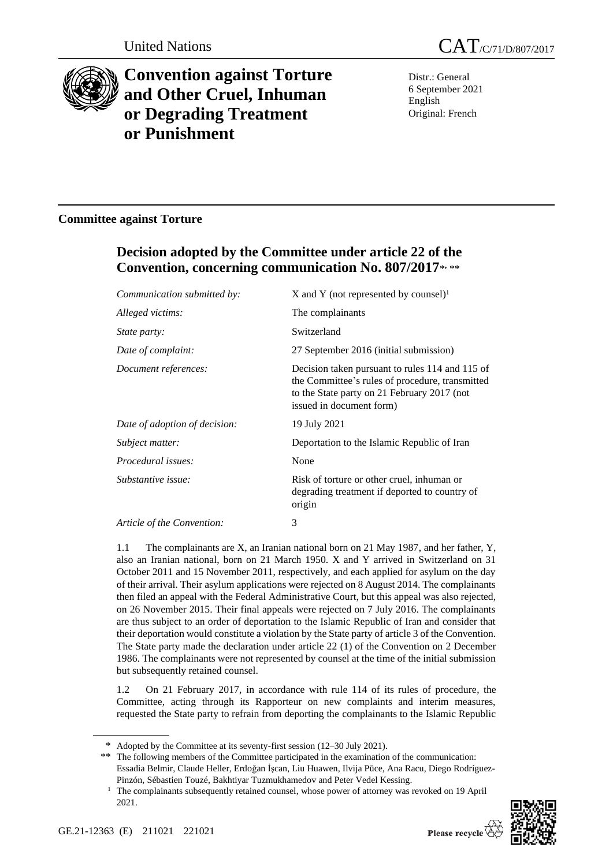

# **Convention against Torture and Other Cruel, Inhuman or Degrading Treatment or Punishment**

Distr.: General 6 September 2021 English Original: French

# **Committee against Torture**

# **Decision adopted by the Committee under article 22 of the Convention, concerning communication No. 807/2017**\* **,** \*\*

| Communication submitted by:   | X and Y (not represented by counsel) <sup>1</sup>                                                                                                                             |
|-------------------------------|-------------------------------------------------------------------------------------------------------------------------------------------------------------------------------|
| Alleged victims:              | The complainants                                                                                                                                                              |
| <i>State party:</i>           | Switzerland                                                                                                                                                                   |
| Date of complaint:            | 27 September 2016 (initial submission)                                                                                                                                        |
| Document references:          | Decision taken pursuant to rules 114 and 115 of<br>the Committee's rules of procedure, transmitted<br>to the State party on 21 February 2017 (not<br>issued in document form) |
| Date of adoption of decision: | 19 July 2021                                                                                                                                                                  |
| Subject matter:               | Deportation to the Islamic Republic of Iran                                                                                                                                   |
| Procedural issues:            | None                                                                                                                                                                          |
| Substantive issue:            | Risk of torture or other cruel, inhuman or<br>degrading treatment if deported to country of<br>origin                                                                         |
| Article of the Convention:    | 3                                                                                                                                                                             |

1.1 The complainants are X, an Iranian national born on 21 May 1987, and her father, Y, also an Iranian national, born on 21 March 1950. X and Y arrived in Switzerland on 31 October 2011 and 15 November 2011, respectively, and each applied for asylum on the day of their arrival. Their asylum applications were rejected on 8 August 2014. The complainants then filed an appeal with the Federal Administrative Court, but this appeal was also rejected, on 26 November 2015. Their final appeals were rejected on 7 July 2016. The complainants are thus subject to an order of deportation to the Islamic Republic of Iran and consider that their deportation would constitute a violation by the State party of article 3 of the Convention. The State party made the declaration under article 22 (1) of the Convention on 2 December 1986. The complainants were not represented by counsel at the time of the initial submission but subsequently retained counsel.

1.2 On 21 February 2017, in accordance with rule 114 of its rules of procedure, the Committee, acting through its Rapporteur on new complaints and interim measures, requested the State party to refrain from deporting the complainants to the Islamic Republic

<sup>&</sup>lt;sup>1</sup> The complainants subsequently retained counsel, whose power of attorney was revoked on 19 April 2021.



<sup>\*</sup> Adopted by the Committee at its seventy-first session (12–30 July 2021).

<sup>\*\*</sup> The following members of the Committee participated in the examination of the communication: Essadia Belmir, Claude Heller, Erdoğan İşcan, Liu Huawen, Ilvija Pūce, Ana Racu, Diego Rodríguez-Pinzón, Sébastien Touzé, Bakhtiyar Tuzmukhamedov and Peter Vedel Kessing.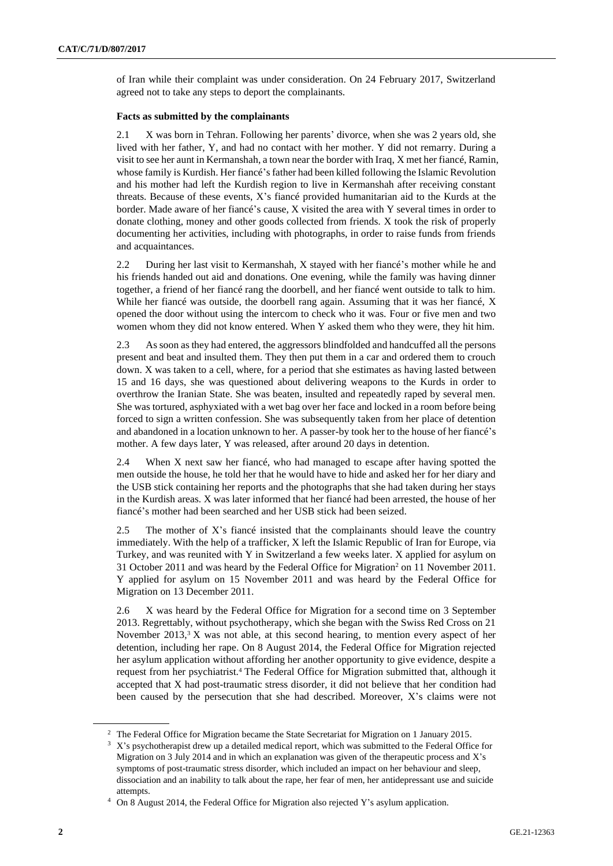of Iran while their complaint was under consideration. On 24 February 2017, Switzerland agreed not to take any steps to deport the complainants.

## **Facts as submitted by the complainants**

2.1 X was born in Tehran. Following her parents' divorce, when she was 2 years old, she lived with her father, Y, and had no contact with her mother. Y did not remarry. During a visit to see her aunt in Kermanshah, a town near the border with Iraq, X met her fiancé, Ramin, whose family is Kurdish. Her fiancé's father had been killed following the Islamic Revolution and his mother had left the Kurdish region to live in Kermanshah after receiving constant threats. Because of these events, X's fiancé provided humanitarian aid to the Kurds at the border. Made aware of her fiancé's cause, X visited the area with Y several times in order to donate clothing, money and other goods collected from friends. X took the risk of properly documenting her activities, including with photographs, in order to raise funds from friends and acquaintances.

2.2 During her last visit to Kermanshah, X stayed with her fiancé's mother while he and his friends handed out aid and donations. One evening, while the family was having dinner together, a friend of her fiancé rang the doorbell, and her fiancé went outside to talk to him. While her fiancé was outside, the doorbell rang again. Assuming that it was her fiancé, X opened the door without using the intercom to check who it was. Four or five men and two women whom they did not know entered. When Y asked them who they were, they hit him.

2.3 As soon as they had entered, the aggressors blindfolded and handcuffed all the persons present and beat and insulted them. They then put them in a car and ordered them to crouch down. X was taken to a cell, where, for a period that she estimates as having lasted between 15 and 16 days, she was questioned about delivering weapons to the Kurds in order to overthrow the Iranian State. She was beaten, insulted and repeatedly raped by several men. She was tortured, asphyxiated with a wet bag over her face and locked in a room before being forced to sign a written confession. She was subsequently taken from her place of detention and abandoned in a location unknown to her. A passer-by took her to the house of her fiancé's mother. A few days later, Y was released, after around 20 days in detention.

2.4 When X next saw her fiancé, who had managed to escape after having spotted the men outside the house, he told her that he would have to hide and asked her for her diary and the USB stick containing her reports and the photographs that she had taken during her stays in the Kurdish areas. X was later informed that her fiancé had been arrested, the house of her fiancé's mother had been searched and her USB stick had been seized.

2.5 The mother of X's fiancé insisted that the complainants should leave the country immediately. With the help of a trafficker, X left the Islamic Republic of Iran for Europe, via Turkey, and was reunited with Y in Switzerland a few weeks later. X applied for asylum on 31 October 2011 and was heard by the Federal Office for Migration<sup>2</sup> on 11 November 2011. Y applied for asylum on 15 November 2011 and was heard by the Federal Office for Migration on 13 December 2011.

2.6 X was heard by the Federal Office for Migration for a second time on 3 September 2013. Regrettably, without psychotherapy, which she began with the Swiss Red Cross on 21 November 2013, $3 \text{ X}$  was not able, at this second hearing, to mention every aspect of her detention, including her rape. On 8 August 2014, the Federal Office for Migration rejected her asylum application without affording her another opportunity to give evidence, despite a request from her psychiatrist.<sup>4</sup> The Federal Office for Migration submitted that, although it accepted that X had post-traumatic stress disorder, it did not believe that her condition had been caused by the persecution that she had described. Moreover, X's claims were not

<sup>&</sup>lt;sup>2</sup> The Federal Office for Migration became the State Secretariat for Migration on 1 January 2015.

<sup>&</sup>lt;sup>3</sup> X's psychotherapist drew up a detailed medical report, which was submitted to the Federal Office for Migration on 3 July 2014 and in which an explanation was given of the therapeutic process and X's symptoms of post-traumatic stress disorder, which included an impact on her behaviour and sleep, dissociation and an inability to talk about the rape, her fear of men, her antidepressant use and suicide attempts.

<sup>4</sup> On 8 August 2014, the Federal Office for Migration also rejected Y's asylum application.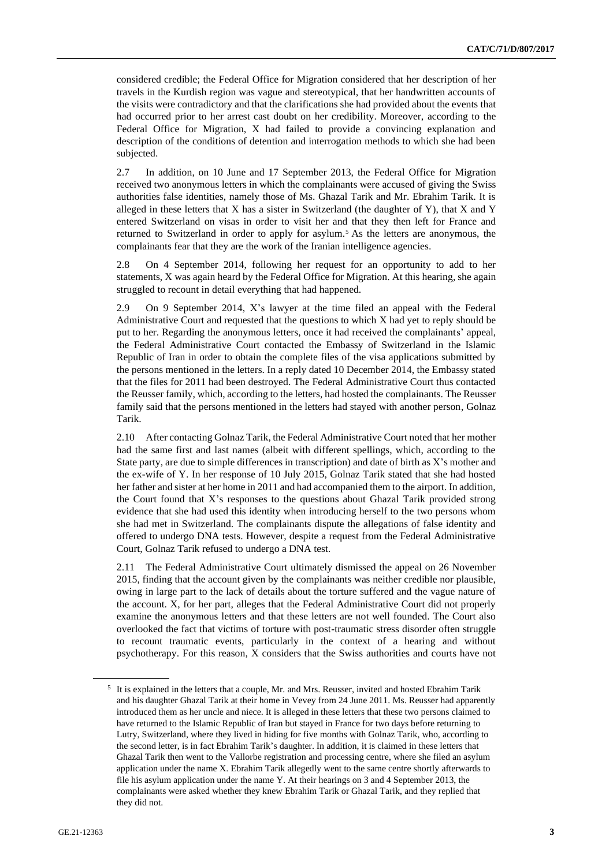considered credible; the Federal Office for Migration considered that her description of her travels in the Kurdish region was vague and stereotypical, that her handwritten accounts of the visits were contradictory and that the clarifications she had provided about the events that had occurred prior to her arrest cast doubt on her credibility. Moreover, according to the Federal Office for Migration, X had failed to provide a convincing explanation and description of the conditions of detention and interrogation methods to which she had been subjected.

2.7 In addition, on 10 June and 17 September 2013, the Federal Office for Migration received two anonymous letters in which the complainants were accused of giving the Swiss authorities false identities, namely those of Ms. Ghazal Tarik and Mr. Ebrahim Tarik. It is alleged in these letters that  $X$  has a sister in Switzerland (the daughter of  $Y$ ), that  $X$  and  $Y$ entered Switzerland on visas in order to visit her and that they then left for France and returned to Switzerland in order to apply for asylum.<sup>5</sup> As the letters are anonymous, the complainants fear that they are the work of the Iranian intelligence agencies.

2.8 On 4 September 2014, following her request for an opportunity to add to her statements, X was again heard by the Federal Office for Migration. At this hearing, she again struggled to recount in detail everything that had happened.

2.9 On 9 September 2014, X's lawyer at the time filed an appeal with the Federal Administrative Court and requested that the questions to which X had yet to reply should be put to her. Regarding the anonymous letters, once it had received the complainants' appeal, the Federal Administrative Court contacted the Embassy of Switzerland in the Islamic Republic of Iran in order to obtain the complete files of the visa applications submitted by the persons mentioned in the letters. In a reply dated 10 December 2014, the Embassy stated that the files for 2011 had been destroyed. The Federal Administrative Court thus contacted the Reusser family, which, according to the letters, had hosted the complainants. The Reusser family said that the persons mentioned in the letters had stayed with another person, Golnaz Tarik.

2.10 After contacting Golnaz Tarik, the Federal Administrative Court noted that her mother had the same first and last names (albeit with different spellings, which, according to the State party, are due to simple differences in transcription) and date of birth as X's mother and the ex-wife of Y. In her response of 10 July 2015, Golnaz Tarik stated that she had hosted her father and sister at her home in 2011 and had accompanied them to the airport. In addition, the Court found that X's responses to the questions about Ghazal Tarik provided strong evidence that she had used this identity when introducing herself to the two persons whom she had met in Switzerland. The complainants dispute the allegations of false identity and offered to undergo DNA tests. However, despite a request from the Federal Administrative Court, Golnaz Tarik refused to undergo a DNA test.

2.11 The Federal Administrative Court ultimately dismissed the appeal on 26 November 2015, finding that the account given by the complainants was neither credible nor plausible, owing in large part to the lack of details about the torture suffered and the vague nature of the account. X, for her part, alleges that the Federal Administrative Court did not properly examine the anonymous letters and that these letters are not well founded. The Court also overlooked the fact that victims of torture with post-traumatic stress disorder often struggle to recount traumatic events, particularly in the context of a hearing and without psychotherapy. For this reason, X considers that the Swiss authorities and courts have not

<sup>&</sup>lt;sup>5</sup> It is explained in the letters that a couple, Mr. and Mrs. Reusser, invited and hosted Ebrahim Tarik and his daughter Ghazal Tarik at their home in Vevey from 24 June 2011. Ms. Reusser had apparently introduced them as her uncle and niece. It is alleged in these letters that these two persons claimed to have returned to the Islamic Republic of Iran but stayed in France for two days before returning to Lutry, Switzerland, where they lived in hiding for five months with Golnaz Tarik, who, according to the second letter, is in fact Ebrahim Tarik's daughter. In addition, it is claimed in these letters that Ghazal Tarik then went to the Vallorbe registration and processing centre, where she filed an asylum application under the name X. Ebrahim Tarik allegedly went to the same centre shortly afterwards to file his asylum application under the name Y. At their hearings on 3 and 4 September 2013, the complainants were asked whether they knew Ebrahim Tarik or Ghazal Tarik, and they replied that they did not.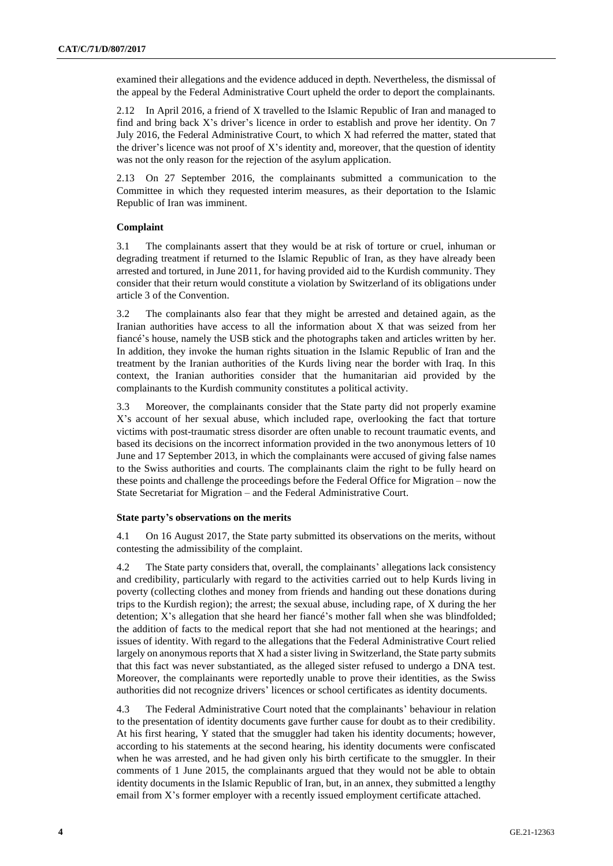examined their allegations and the evidence adduced in depth. Nevertheless, the dismissal of the appeal by the Federal Administrative Court upheld the order to deport the complainants.

2.12 In April 2016, a friend of X travelled to the Islamic Republic of Iran and managed to find and bring back X's driver's licence in order to establish and prove her identity. On 7 July 2016, the Federal Administrative Court, to which X had referred the matter, stated that the driver's licence was not proof of X's identity and, moreover, that the question of identity was not the only reason for the rejection of the asylum application.

2.13 On 27 September 2016, the complainants submitted a communication to the Committee in which they requested interim measures, as their deportation to the Islamic Republic of Iran was imminent.

# **Complaint**

3.1 The complainants assert that they would be at risk of torture or cruel, inhuman or degrading treatment if returned to the Islamic Republic of Iran, as they have already been arrested and tortured, in June 2011, for having provided aid to the Kurdish community. They consider that their return would constitute a violation by Switzerland of its obligations under article 3 of the Convention.

3.2 The complainants also fear that they might be arrested and detained again, as the Iranian authorities have access to all the information about X that was seized from her fiancé's house, namely the USB stick and the photographs taken and articles written by her. In addition, they invoke the human rights situation in the Islamic Republic of Iran and the treatment by the Iranian authorities of the Kurds living near the border with Iraq. In this context, the Iranian authorities consider that the humanitarian aid provided by the complainants to the Kurdish community constitutes a political activity.

3.3 Moreover, the complainants consider that the State party did not properly examine X's account of her sexual abuse, which included rape, overlooking the fact that torture victims with post-traumatic stress disorder are often unable to recount traumatic events, and based its decisions on the incorrect information provided in the two anonymous letters of 10 June and 17 September 2013, in which the complainants were accused of giving false names to the Swiss authorities and courts. The complainants claim the right to be fully heard on these points and challenge the proceedings before the Federal Office for Migration – now the State Secretariat for Migration – and the Federal Administrative Court.

# **State party's observations on the merits**

4.1 On 16 August 2017, the State party submitted its observations on the merits, without contesting the admissibility of the complaint.

4.2 The State party considers that, overall, the complainants' allegations lack consistency and credibility, particularly with regard to the activities carried out to help Kurds living in poverty (collecting clothes and money from friends and handing out these donations during trips to the Kurdish region); the arrest; the sexual abuse, including rape, of X during the her detention; X's allegation that she heard her fiancé's mother fall when she was blindfolded; the addition of facts to the medical report that she had not mentioned at the hearings; and issues of identity. With regard to the allegations that the Federal Administrative Court relied largely on anonymous reports that X had a sister living in Switzerland, the State party submits that this fact was never substantiated, as the alleged sister refused to undergo a DNA test. Moreover, the complainants were reportedly unable to prove their identities, as the Swiss authorities did not recognize drivers' licences or school certificates as identity documents.

4.3 The Federal Administrative Court noted that the complainants' behaviour in relation to the presentation of identity documents gave further cause for doubt as to their credibility. At his first hearing, Y stated that the smuggler had taken his identity documents; however, according to his statements at the second hearing, his identity documents were confiscated when he was arrested, and he had given only his birth certificate to the smuggler. In their comments of 1 June 2015, the complainants argued that they would not be able to obtain identity documents in the Islamic Republic of Iran, but, in an annex, they submitted a lengthy email from X's former employer with a recently issued employment certificate attached.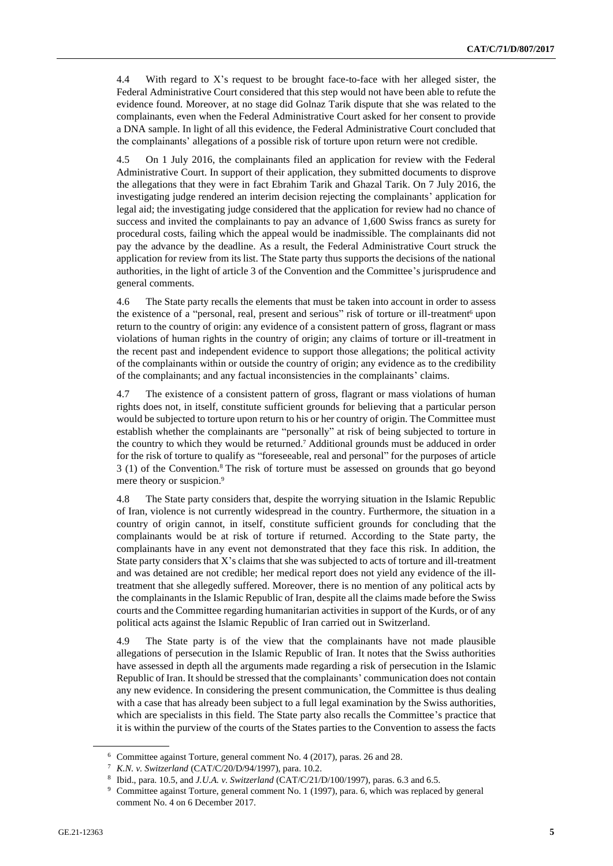4.4 With regard to X's request to be brought face-to-face with her alleged sister, the Federal Administrative Court considered that this step would not have been able to refute the evidence found. Moreover, at no stage did Golnaz Tarik dispute that she was related to the complainants, even when the Federal Administrative Court asked for her consent to provide a DNA sample. In light of all this evidence, the Federal Administrative Court concluded that the complainants' allegations of a possible risk of torture upon return were not credible.

4.5 On 1 July 2016, the complainants filed an application for review with the Federal Administrative Court. In support of their application, they submitted documents to disprove the allegations that they were in fact Ebrahim Tarik and Ghazal Tarik. On 7 July 2016, the investigating judge rendered an interim decision rejecting the complainants' application for legal aid; the investigating judge considered that the application for review had no chance of success and invited the complainants to pay an advance of 1,600 Swiss francs as surety for procedural costs, failing which the appeal would be inadmissible. The complainants did not pay the advance by the deadline. As a result, the Federal Administrative Court struck the application for review from its list. The State party thus supports the decisions of the national authorities, in the light of article 3 of the Convention and the Committee's jurisprudence and general comments.

4.6 The State party recalls the elements that must be taken into account in order to assess the existence of a "personal, real, present and serious" risk of torture or ill-treatment<sup>6</sup> upon return to the country of origin: any evidence of a consistent pattern of gross, flagrant or mass violations of human rights in the country of origin; any claims of torture or ill-treatment in the recent past and independent evidence to support those allegations; the political activity of the complainants within or outside the country of origin; any evidence as to the credibility of the complainants; and any factual inconsistencies in the complainants' claims.

4.7 The existence of a consistent pattern of gross, flagrant or mass violations of human rights does not, in itself, constitute sufficient grounds for believing that a particular person would be subjected to torture upon return to his or her country of origin. The Committee must establish whether the complainants are "personally" at risk of being subjected to torture in the country to which they would be returned.<sup>7</sup> Additional grounds must be adduced in order for the risk of torture to qualify as "foreseeable, real and personal" for the purposes of article 3 (1) of the Convention.<sup>8</sup> The risk of torture must be assessed on grounds that go beyond mere theory or suspicion.<sup>9</sup>

4.8 The State party considers that, despite the worrying situation in the Islamic Republic of Iran, violence is not currently widespread in the country. Furthermore, the situation in a country of origin cannot, in itself, constitute sufficient grounds for concluding that the complainants would be at risk of torture if returned. According to the State party, the complainants have in any event not demonstrated that they face this risk. In addition, the State party considers that X's claims that she was subjected to acts of torture and ill-treatment and was detained are not credible; her medical report does not yield any evidence of the illtreatment that she allegedly suffered. Moreover, there is no mention of any political acts by the complainants in the Islamic Republic of Iran, despite all the claims made before the Swiss courts and the Committee regarding humanitarian activities in support of the Kurds, or of any political acts against the Islamic Republic of Iran carried out in Switzerland.

4.9 The State party is of the view that the complainants have not made plausible allegations of persecution in the Islamic Republic of Iran. It notes that the Swiss authorities have assessed in depth all the arguments made regarding a risk of persecution in the Islamic Republic of Iran. It should be stressed that the complainants' communication does not contain any new evidence. In considering the present communication, the Committee is thus dealing with a case that has already been subject to a full legal examination by the Swiss authorities, which are specialists in this field. The State party also recalls the Committee's practice that it is within the purview of the courts of the States parties to the Convention to assess the facts

<sup>6</sup> Committee against Torture, general comment No. 4 (2017), paras. 26 and 28.

<sup>7</sup> *K.N. v. Switzerland* (CAT/C/20/D/94/1997), para. 10.2.

<sup>8</sup> Ibid., para. 10.5, and *J.U.A. v. Switzerland* (CAT/C/21/D/100/1997), paras. 6.3 and 6.5.

<sup>&</sup>lt;sup>9</sup> Committee against Torture, general comment No. 1 (1997), para. 6, which was replaced by general comment No. 4 on 6 December 2017.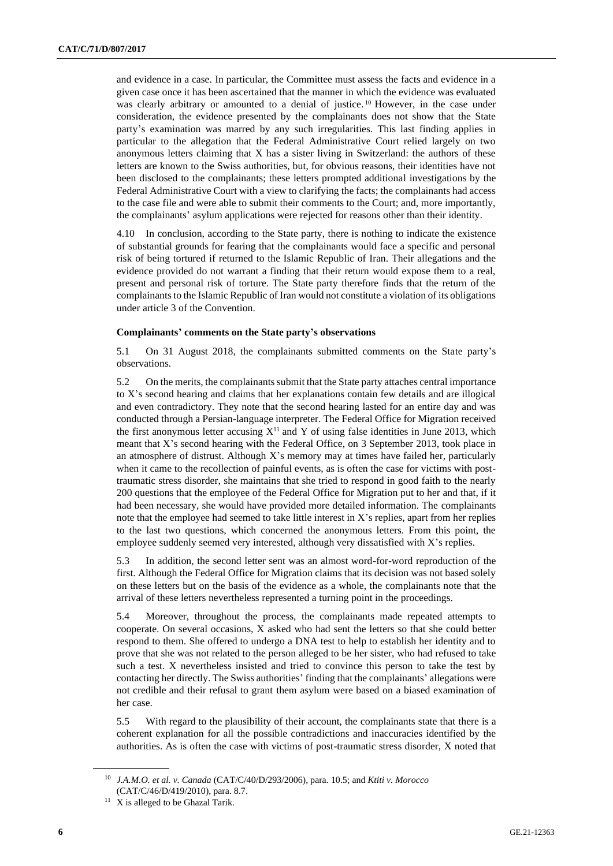and evidence in a case. In particular, the Committee must assess the facts and evidence in a given case once it has been ascertained that the manner in which the evidence was evaluated was clearly arbitrary or amounted to a denial of justice. <sup>10</sup> However, in the case under consideration, the evidence presented by the complainants does not show that the State party's examination was marred by any such irregularities. This last finding applies in particular to the allegation that the Federal Administrative Court relied largely on two anonymous letters claiming that X has a sister living in Switzerland: the authors of these letters are known to the Swiss authorities, but, for obvious reasons, their identities have not been disclosed to the complainants; these letters prompted additional investigations by the Federal Administrative Court with a view to clarifying the facts; the complainants had access to the case file and were able to submit their comments to the Court; and, more importantly, the complainants' asylum applications were rejected for reasons other than their identity.

4.10 In conclusion, according to the State party, there is nothing to indicate the existence of substantial grounds for fearing that the complainants would face a specific and personal risk of being tortured if returned to the Islamic Republic of Iran. Their allegations and the evidence provided do not warrant a finding that their return would expose them to a real, present and personal risk of torture. The State party therefore finds that the return of the complainants to the Islamic Republic of Iran would not constitute a violation of its obligations under article 3 of the Convention.

# **Complainants' comments on the State party's observations**

5.1 On 31 August 2018, the complainants submitted comments on the State party's observations.

5.2 On the merits, the complainants submit that the State party attaches central importance to X's second hearing and claims that her explanations contain few details and are illogical and even contradictory. They note that the second hearing lasted for an entire day and was conducted through a Persian-language interpreter. The Federal Office for Migration received the first anonymous letter accusing  $X<sup>11</sup>$  and Y of using false identities in June 2013, which meant that X's second hearing with the Federal Office, on 3 September 2013, took place in an atmosphere of distrust. Although X's memory may at times have failed her, particularly when it came to the recollection of painful events, as is often the case for victims with posttraumatic stress disorder, she maintains that she tried to respond in good faith to the nearly 200 questions that the employee of the Federal Office for Migration put to her and that, if it had been necessary, she would have provided more detailed information. The complainants note that the employee had seemed to take little interest in X's replies, apart from her replies to the last two questions, which concerned the anonymous letters. From this point, the employee suddenly seemed very interested, although very dissatisfied with X's replies.

5.3 In addition, the second letter sent was an almost word-for-word reproduction of the first. Although the Federal Office for Migration claims that its decision was not based solely on these letters but on the basis of the evidence as a whole, the complainants note that the arrival of these letters nevertheless represented a turning point in the proceedings.

5.4 Moreover, throughout the process, the complainants made repeated attempts to cooperate. On several occasions, X asked who had sent the letters so that she could better respond to them. She offered to undergo a DNA test to help to establish her identity and to prove that she was not related to the person alleged to be her sister, who had refused to take such a test. X nevertheless insisted and tried to convince this person to take the test by contacting her directly. The Swiss authorities' finding that the complainants' allegations were not credible and their refusal to grant them asylum were based on a biased examination of her case.

5.5 With regard to the plausibility of their account, the complainants state that there is a coherent explanation for all the possible contradictions and inaccuracies identified by the authorities. As is often the case with victims of post-traumatic stress disorder, X noted that

<sup>10</sup> *J.A.M.O. et al. v. Canada* (CAT/C/40/D/293/2006), para. 10.5; and *Ktiti v. Morocco* (CAT/C/46/D/419/2010), para. 8.7.

 $11$  X is alleged to be Ghazal Tarik.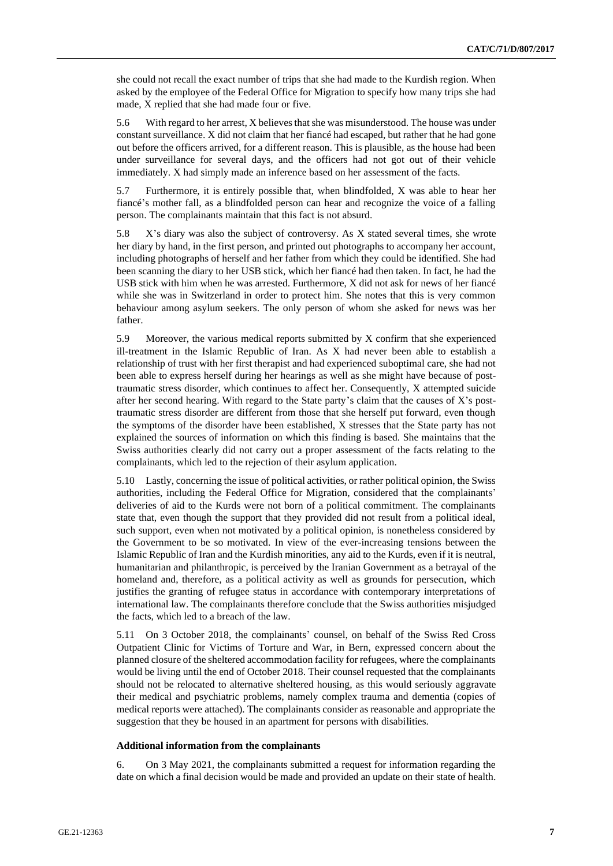she could not recall the exact number of trips that she had made to the Kurdish region. When asked by the employee of the Federal Office for Migration to specify how many trips she had made, X replied that she had made four or five.

5.6 With regard to her arrest, X believes that she was misunderstood. The house was under constant surveillance. X did not claim that her fiancé had escaped, but rather that he had gone out before the officers arrived, for a different reason. This is plausible, as the house had been under surveillance for several days, and the officers had not got out of their vehicle immediately. X had simply made an inference based on her assessment of the facts.

5.7 Furthermore, it is entirely possible that, when blindfolded, X was able to hear her fiancé's mother fall, as a blindfolded person can hear and recognize the voice of a falling person. The complainants maintain that this fact is not absurd.

5.8 X's diary was also the subject of controversy. As X stated several times, she wrote her diary by hand, in the first person, and printed out photographs to accompany her account, including photographs of herself and her father from which they could be identified. She had been scanning the diary to her USB stick, which her fiancé had then taken. In fact, he had the USB stick with him when he was arrested. Furthermore, X did not ask for news of her fiancé while she was in Switzerland in order to protect him. She notes that this is very common behaviour among asylum seekers. The only person of whom she asked for news was her father.

5.9 Moreover, the various medical reports submitted by X confirm that she experienced ill-treatment in the Islamic Republic of Iran. As X had never been able to establish a relationship of trust with her first therapist and had experienced suboptimal care, she had not been able to express herself during her hearings as well as she might have because of posttraumatic stress disorder, which continues to affect her. Consequently, X attempted suicide after her second hearing. With regard to the State party's claim that the causes of X's posttraumatic stress disorder are different from those that she herself put forward, even though the symptoms of the disorder have been established, X stresses that the State party has not explained the sources of information on which this finding is based. She maintains that the Swiss authorities clearly did not carry out a proper assessment of the facts relating to the complainants, which led to the rejection of their asylum application.

5.10 Lastly, concerning the issue of political activities, or rather political opinion, the Swiss authorities, including the Federal Office for Migration, considered that the complainants' deliveries of aid to the Kurds were not born of a political commitment. The complainants state that, even though the support that they provided did not result from a political ideal, such support, even when not motivated by a political opinion, is nonetheless considered by the Government to be so motivated. In view of the ever-increasing tensions between the Islamic Republic of Iran and the Kurdish minorities, any aid to the Kurds, even if it is neutral, humanitarian and philanthropic, is perceived by the Iranian Government as a betrayal of the homeland and, therefore, as a political activity as well as grounds for persecution, which justifies the granting of refugee status in accordance with contemporary interpretations of international law. The complainants therefore conclude that the Swiss authorities misjudged the facts, which led to a breach of the law.

5.11 On 3 October 2018, the complainants' counsel, on behalf of the Swiss Red Cross Outpatient Clinic for Victims of Torture and War, in Bern, expressed concern about the planned closure of the sheltered accommodation facility for refugees, where the complainants would be living until the end of October 2018. Their counsel requested that the complainants should not be relocated to alternative sheltered housing, as this would seriously aggravate their medical and psychiatric problems, namely complex trauma and dementia (copies of medical reports were attached). The complainants consider as reasonable and appropriate the suggestion that they be housed in an apartment for persons with disabilities.

#### **Additional information from the complainants**

6. On 3 May 2021, the complainants submitted a request for information regarding the date on which a final decision would be made and provided an update on their state of health.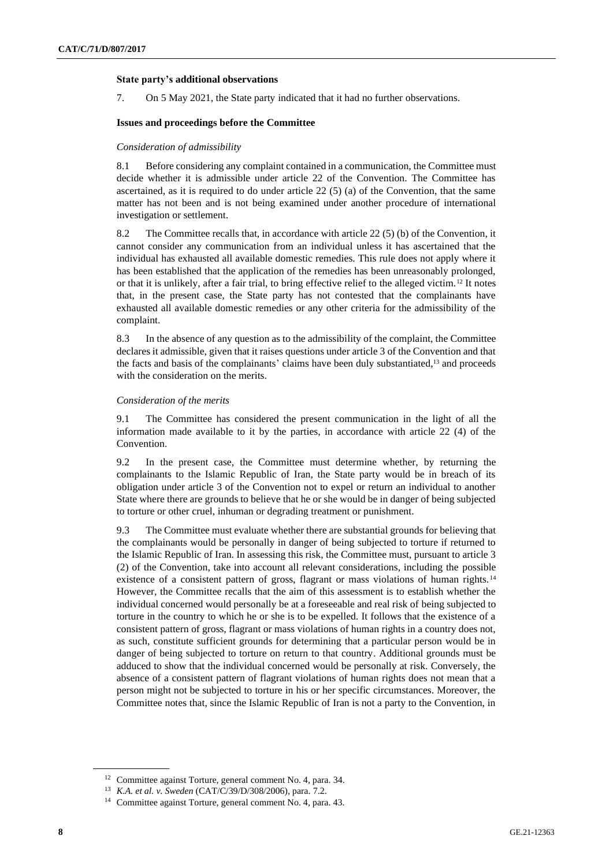## **State party's additional observations**

7. On 5 May 2021, the State party indicated that it had no further observations.

## **Issues and proceedings before the Committee**

#### *Consideration of admissibility*

8.1 Before considering any complaint contained in a communication, the Committee must decide whether it is admissible under article 22 of the Convention. The Committee has ascertained, as it is required to do under article 22 (5) (a) of the Convention, that the same matter has not been and is not being examined under another procedure of international investigation or settlement.

8.2 The Committee recalls that, in accordance with article 22 (5) (b) of the Convention, it cannot consider any communication from an individual unless it has ascertained that the individual has exhausted all available domestic remedies. This rule does not apply where it has been established that the application of the remedies has been unreasonably prolonged, or that it is unlikely, after a fair trial, to bring effective relief to the alleged victim.<sup>12</sup> It notes that, in the present case, the State party has not contested that the complainants have exhausted all available domestic remedies or any other criteria for the admissibility of the complaint.

8.3 In the absence of any question as to the admissibility of the complaint, the Committee declares it admissible, given that it raises questions under article 3 of the Convention and that the facts and basis of the complainants' claims have been duly substantiated,<sup>13</sup> and proceeds with the consideration on the merits.

## *Consideration of the merits*

9.1 The Committee has considered the present communication in the light of all the information made available to it by the parties, in accordance with article 22 (4) of the Convention.

9.2 In the present case, the Committee must determine whether, by returning the complainants to the Islamic Republic of Iran, the State party would be in breach of its obligation under article 3 of the Convention not to expel or return an individual to another State where there are grounds to believe that he or she would be in danger of being subjected to torture or other cruel, inhuman or degrading treatment or punishment.

9.3 The Committee must evaluate whether there are substantial grounds for believing that the complainants would be personally in danger of being subjected to torture if returned to the Islamic Republic of Iran. In assessing this risk, the Committee must, pursuant to article 3 (2) of the Convention, take into account all relevant considerations, including the possible existence of a consistent pattern of gross, flagrant or mass violations of human rights.<sup>14</sup> However, the Committee recalls that the aim of this assessment is to establish whether the individual concerned would personally be at a foreseeable and real risk of being subjected to torture in the country to which he or she is to be expelled. It follows that the existence of a consistent pattern of gross, flagrant or mass violations of human rights in a country does not, as such, constitute sufficient grounds for determining that a particular person would be in danger of being subjected to torture on return to that country. Additional grounds must be adduced to show that the individual concerned would be personally at risk. Conversely, the absence of a consistent pattern of flagrant violations of human rights does not mean that a person might not be subjected to torture in his or her specific circumstances. Moreover, the Committee notes that, since the Islamic Republic of Iran is not a party to the Convention, in

<sup>12</sup> Committee against Torture, general comment No. 4, para. 34.

<sup>13</sup> *K.A. et al. v. Sweden* (CAT/C/39/D/308/2006), para. 7.2.

<sup>14</sup> Committee against Torture, general comment No. 4, para. 43.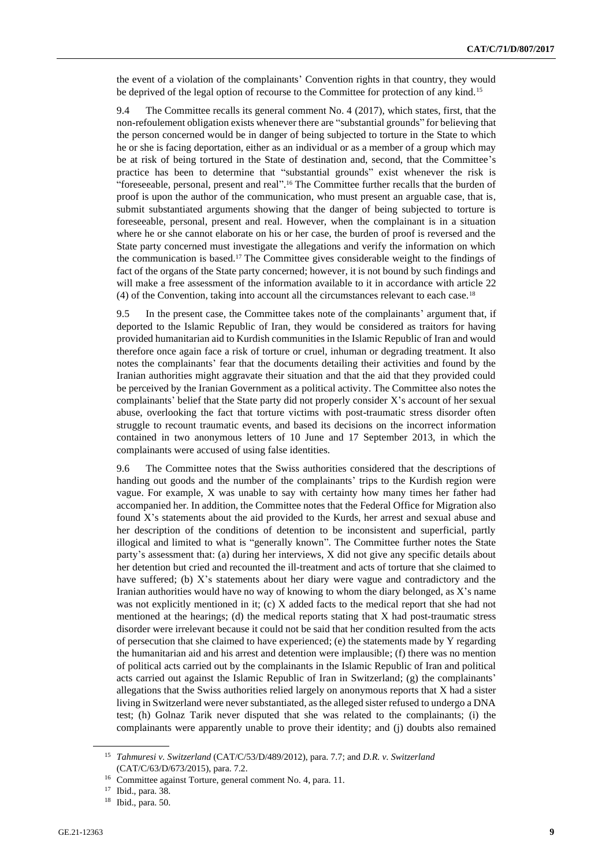the event of a violation of the complainants' Convention rights in that country, they would be deprived of the legal option of recourse to the Committee for protection of any kind.<sup>15</sup>

9.4 The Committee recalls its general comment No. 4 (2017), which states, first, that the non-refoulement obligation exists whenever there are "substantial grounds" for believing that the person concerned would be in danger of being subjected to torture in the State to which he or she is facing deportation, either as an individual or as a member of a group which may be at risk of being tortured in the State of destination and, second, that the Committee's practice has been to determine that "substantial grounds" exist whenever the risk is "foreseeable, personal, present and real". <sup>16</sup> The Committee further recalls that the burden of proof is upon the author of the communication, who must present an arguable case, that is, submit substantiated arguments showing that the danger of being subjected to torture is foreseeable, personal, present and real. However, when the complainant is in a situation where he or she cannot elaborate on his or her case, the burden of proof is reversed and the State party concerned must investigate the allegations and verify the information on which the communication is based.<sup>17</sup> The Committee gives considerable weight to the findings of fact of the organs of the State party concerned; however, it is not bound by such findings and will make a free assessment of the information available to it in accordance with article 22 (4) of the Convention, taking into account all the circumstances relevant to each case.<sup>18</sup>

9.5 In the present case, the Committee takes note of the complainants' argument that, if deported to the Islamic Republic of Iran, they would be considered as traitors for having provided humanitarian aid to Kurdish communities in the Islamic Republic of Iran and would therefore once again face a risk of torture or cruel, inhuman or degrading treatment. It also notes the complainants' fear that the documents detailing their activities and found by the Iranian authorities might aggravate their situation and that the aid that they provided could be perceived by the Iranian Government as a political activity. The Committee also notes the complainants' belief that the State party did not properly consider X's account of her sexual abuse, overlooking the fact that torture victims with post-traumatic stress disorder often struggle to recount traumatic events, and based its decisions on the incorrect information contained in two anonymous letters of 10 June and 17 September 2013, in which the complainants were accused of using false identities.

9.6 The Committee notes that the Swiss authorities considered that the descriptions of handing out goods and the number of the complainants' trips to the Kurdish region were vague. For example, X was unable to say with certainty how many times her father had accompanied her. In addition, the Committee notes that the Federal Office for Migration also found X's statements about the aid provided to the Kurds, her arrest and sexual abuse and her description of the conditions of detention to be inconsistent and superficial, partly illogical and limited to what is "generally known". The Committee further notes the State party's assessment that: (a) during her interviews, X did not give any specific details about her detention but cried and recounted the ill-treatment and acts of torture that she claimed to have suffered; (b) X's statements about her diary were vague and contradictory and the Iranian authorities would have no way of knowing to whom the diary belonged, as X's name was not explicitly mentioned in it; (c) X added facts to the medical report that she had not mentioned at the hearings; (d) the medical reports stating that X had post-traumatic stress disorder were irrelevant because it could not be said that her condition resulted from the acts of persecution that she claimed to have experienced; (e) the statements made by Y regarding the humanitarian aid and his arrest and detention were implausible; (f) there was no mention of political acts carried out by the complainants in the Islamic Republic of Iran and political acts carried out against the Islamic Republic of Iran in Switzerland; (g) the complainants' allegations that the Swiss authorities relied largely on anonymous reports that X had a sister living in Switzerland were never substantiated, as the alleged sister refused to undergo a DNA test; (h) Golnaz Tarik never disputed that she was related to the complainants; (i) the complainants were apparently unable to prove their identity; and (j) doubts also remained

<sup>15</sup> *Tahmuresi v. Switzerland* (CAT/C/53/D/489/2012), para. 7.7; and *D.R. v. Switzerland* (CAT/C/63/D/673/2015), para. 7.2.

<sup>16</sup> Committee against Torture, general comment No. 4, para. 11.

<sup>17</sup> Ibid., para. 38.

<sup>18</sup> Ibid., para. 50.